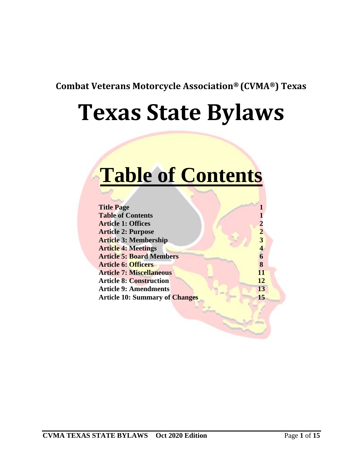**Combat Veterans Motorcycle Association® (CVMA®) Texas**

# **Texas State Bylaws**

## **Table of Contents**

| $\mathbf{2}$ |
|--------------|
| 3            |
|              |
| 6            |
| 8            |
| 11           |
| 12           |
| 13           |
| 15           |
|              |
|              |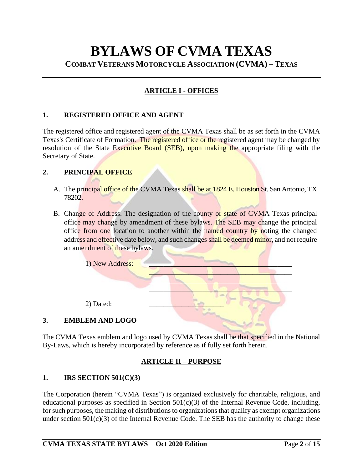### **BYLAWS OF CVMA TEXAS COMBAT VETERANS MOTORCYCLE ASSOCIATION (CVMA) – TEXAS**

#### **ARTICLE I - OFFICES**

#### **1. REGISTERED OFFICE AND AGENT**

The registered office and registered agent of the CVMA Texas shall be as set forth in the CVMA Texas's Certificate of Formation. The registered office or the registered agent may be changed by resolution of the State Executive Board (SEB), upon making the appropriate filing with the Secretary of State.

#### **2. PRINCIPAL OFFICE**

- A. The principal office of the CVMA Texas shall be at 1824 E. Houston St. San Antonio, TX 78202.
- B. Change of Address. The designation of the county or state of CVMA Texas principal office may change by amendment of these bylaws. The SEB may change the principal office from one location to another within the named country by noting the changed address and effective date below, and such changes shall be deemed minor, and not require an amendment of these bylaws.



The CVMA Texas emblem and logo used by CVMA Texas shall be that specified in the National By-Laws, which is hereby incorporated by reference as if fully set forth herein.

#### **ARTICLE II – PURPOSE**

#### **1. IRS SECTION 501(C)(3)**

The Corporation (herein "CVMA Texas") is organized exclusively for charitable, religious, and educational purposes as specified in Section  $501(c)(3)$  of the Internal Revenue Code, including, for such purposes, the making of distributions to organizations that qualify as exempt organizations under section  $501(c)(3)$  of the Internal Revenue Code. The SEB has the authority to change these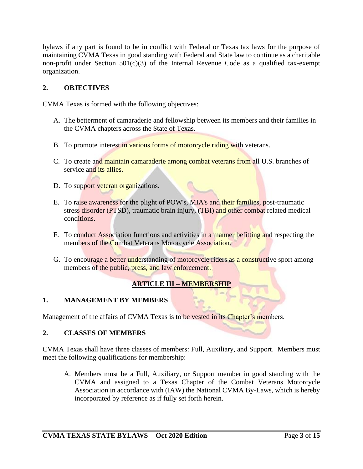bylaws if any part is found to be in conflict with Federal or Texas tax laws for the purpose of maintaining CVMA Texas in good standing with Federal and State law to continue as a charitable non-profit under Section  $501(c)(3)$  of the Internal Revenue Code as a qualified tax-exempt organization.

#### **2. OBJECTIVES**

CVMA Texas is formed with the following objectives:

- A. The betterment of camaraderie and fellowship between its members and their families in the CVMA chapters across the State of Texas.
- B. To promote interest in various forms of motorcycle riding with veterans.
- C. To create and maintain camaraderie among combat veterans from all U.S. branches of service and *its allies*.
- D. To support veteran organizations.
- E. To raise awareness for the plight of POW's, MIA's and their families, post-traumatic stress disorder (PTSD), traumatic brain injury, (TBI) and other combat related medical conditions.
- F. To conduct Association functions and activities in a manner befitting and respecting the members of the Combat Veterans Motorcycle Association.
- G. To encourage a better understanding of motorcycle riders as a constructive sport among members of the public, press, and law enforcement.

#### **ARTICLE III – MEMBERSHIP**

#### **1. MANAGEMENT BY MEMBERS**

Management of the affairs of CVMA Texas is to be vested in its Chapter's members.

#### **2. CLASSES OF MEMBERS**

CVMA Texas shall have three classes of members: Full, Auxiliary, and Support. Members must meet the following qualifications for membership:

A. Members must be a Full, Auxiliary, or Support member in good standing with the CVMA and assigned to a Texas Chapter of the Combat Veterans Motorcycle Association in accordance with (IAW) the National CVMA By-Laws, which is hereby incorporated by reference as if fully set forth herein.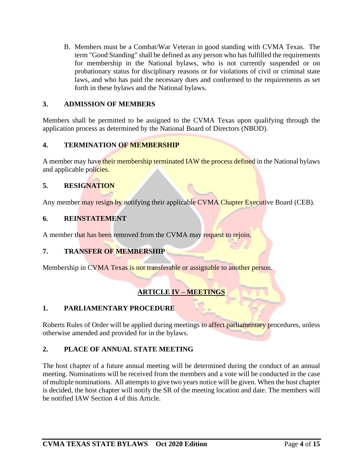B. Members must be a Combat/War Veteran in good standing with CVMA Texas. The term "Good Standing" shall be defined as any person who has fulfilled the requirements for membership in the National bylaws, who is not currently suspended or on probationary status for disciplinary reasons or for violations of civil or criminal state laws, and who has paid the necessary dues and conformed to the requirements as set forth in these bylaws and the National bylaws.

#### **3. ADMISSION OF MEMBERS**

Members shall be permitted to be assigned to the CVMA Texas upon qualifying through the application process as determined by the National Board of Directors (NBOD).

#### **4. TERMINATION OF MEMBERSHIP**

A member may have their membership terminated IAW the process defined in the National bylaws and applicable policies.

#### **5. RESIGNATION**

Any member may resign by notifying their applicable CVMA Chapter Executive Board (CEB).

#### **6. REINSTATEMENT**

A member that has been removed from the CVMA may request to rejoin.

#### **7. TRANSFER OF MEMBERSHIP**

Membership in CVMA Texas is not transferable or assignable to another person.

#### **ARTICLE IV – MEETINGS**

#### **1. PARLIAMENTARY PROCEDURE**

Roberts Rules of Order will be applied during meetings to affect parliamentary procedures, unless otherwise amended and provided for in the bylaws.

#### **2. PLACE OF ANNUAL STATE MEETING**

The host chapter of a future annual meeting will be determined during the conduct of an annual meeting. Nominations will be received from the members and a vote will be conducted in the case of multiple nominations. All attempts to give two years notice will be given. When the host chapter is decided, the host chapter will notify the SR of the meeting location and date. The members will be notified IAW Section 4 of this Article.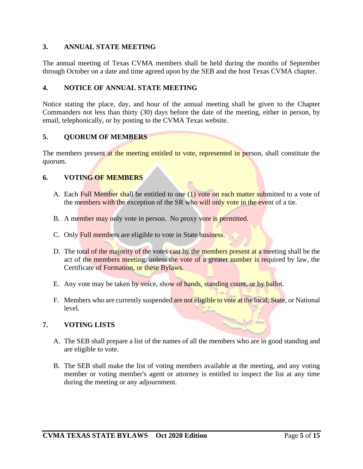#### **3. ANNUAL STATE MEETING**

The annual meeting of Texas CVMA members shall be held during the months of September through October on a date and time agreed upon by the SEB and the host Texas CVMA chapter.

#### **4. NOTICE OF ANNUAL STATE MEETING**

Notice stating the place, day, and hour of the annual meeting shall be given to the Chapter Commanders not less than thirty (30) days before the date of the meeting, either in person, by email, telephonically, or by posting to the CVMA Texas website.

#### **5. QUORUM OF MEMBERS**

The members present at the meeting entitled to vote, represented in person, shall constitute the quorum.

#### **6. VOTING OF MEMBERS**

- A. Each Full Member shall be entitled to one  $(1)$  vote on each matter submitted to a vote of the members with the exception of the SR who will only vote in the event of a tie.
- B. A member may only vote in person. No proxy vote is permitted.
- C. Only Full members are eligible to vote in State business.
- D. The total of the majority of the votes cast by the members present at a meeting shall be the act of the members meeting, unless the vote of a greater number is required by law, the Certificate of Formation, or these Bylaws.
- E. Any vote may be taken by voice, show of hands, standing count, or by ballot.
- F. Members who are currently suspended are not eligible to vote at the local, State, or National level.

#### **7. VOTING LISTS**

- A. The SEB shall prepare a list of the names of all the members who are in good standing and are eligible to vote.
- B. The SEB shall make the list of voting members available at the meeting, and any voting member or voting member's agent or attorney is entitled to inspect the list at any time during the meeting or any adjournment.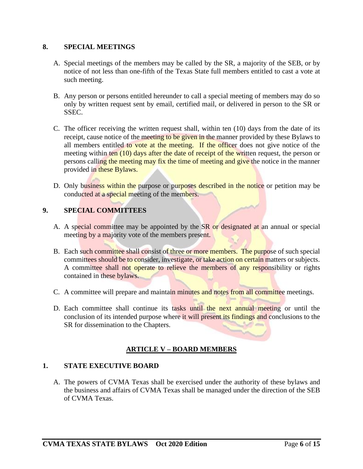#### **8. SPECIAL MEETINGS**

- A. Special meetings of the members may be called by the SR, a majority of the SEB, or by notice of not less than one-fifth of the Texas State full members entitled to cast a vote at such meeting.
- B. Any person or persons entitled hereunder to call a special meeting of members may do so only by written request sent by email, certified mail, or delivered in person to the SR or SSEC.
- C. The officer receiving the written request shall, within ten (10) days from the date of its receipt, cause notice of the meeting to be given in the manner provided by these Bylaws to all members entitled to vote at the meeting. If the officer does not give notice of the meeting within ten (10) days after the date of receipt of the written request, the person or persons calling the meeting may fix the time of meeting and give the notice in the manner provided in these Bylaws.
- D. Only business within the purpose or purposes described in the notice or petition may be conducted at a special meeting of the members.

#### **9. SPECIAL COMMITTEES**

- A. A special committee may be appointed by the SR or designated at an annual or special meeting by a majority vote of the members present.
- B. Each such committee shall consist of three or more members. The purpose of such special committees should be to consider, investigate, or take action on certain matters or subjects. A committee shall not operate to relieve the members of any responsibility or rights contained in these bylaws.
- C. A committee will prepare and maintain minutes and notes from all committee meetings.
- D. Each committee shall continue its tasks until the next annual meeting or until the conclusion of its intended purpose where it will present its findings and conclusions to the SR for dissemination to the Chapters.

#### **ARTICLE V – BOARD MEMBERS**

#### **1. STATE EXECUTIVE BOARD**

A. The powers of CVMA Texas shall be exercised under the authority of these bylaws and the business and affairs of CVMA Texas shall be managed under the direction of the SEB of CVMA Texas.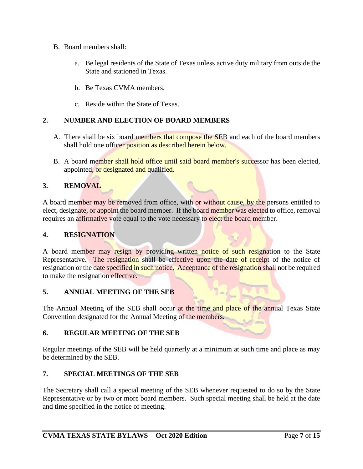- B. Board members shall:
	- a. Be legal residents of the State of Texas unless active duty military from outside the State and stationed in Texas.
	- b. Be Texas CVMA members.
	- c. Reside within the State of Texas.

#### **2. NUMBER AND ELECTION OF BOARD MEMBERS**

- A. There shall be six board members that compose the SEB and each of the board members shall hold one officer position as described herein below.
- B. A board member shall hold office until said board member's successor has been elected, appointed, or designated and qualified.

#### **3. REMOVAL**

A board member may be removed from office, with or without cause, by the persons entitled to elect, designate, or appoint the board member. If the board member was elected to office, removal requires an affirmative vote equal to the vote necessary to elect the board member.

#### **4. RESIGNATION**

A board member may resign by providing written notice of such resignation to the State Representative. The resignation shall be effective upon the date of receipt of the notice of resignation or the date specified in such notice. Acceptance of the resignation shall not be required to make the resignation effective.

#### **5. ANNUAL MEETING OF THE SEB**

The Annual Meeting of the SEB shall occur at the time and place of the annual Texas State Convention designated for the Annual Meeting of the members.

#### **6. REGULAR MEETING OF THE SEB**

Regular meetings of the SEB will be held quarterly at a minimum at such time and place as may be determined by the SEB.

#### **7. SPECIAL MEETINGS OF THE SEB**

The Secretary shall call a special meeting of the SEB whenever requested to do so by the State Representative or by two or more board members. Such special meeting shall be held at the date and time specified in the notice of meeting.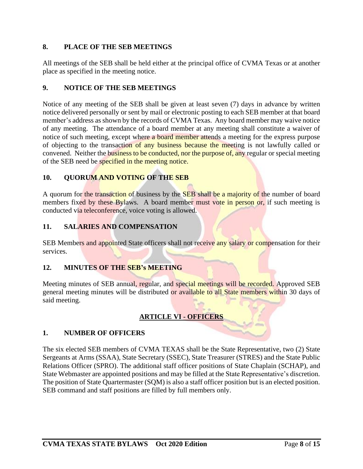#### **8. PLACE OF THE SEB MEETINGS**

All meetings of the SEB shall be held either at the principal office of CVMA Texas or at another place as specified in the meeting notice.

#### **9. NOTICE OF THE SEB MEETINGS**

Notice of any meeting of the SEB shall be given at least seven (7) days in advance by written notice delivered personally or sent by mail or electronic posting to each SEB member at that board member's address as shown by the records of CVMA Texas. Any board member may waive notice of any meeting. The attendance of a board member at any meeting shall constitute a waiver of notice of such meeting, except where a board member attends a meeting for the express purpose of objecting to the transaction of any business because the meeting is not lawfully called or convened. Neither the business to be conducted, nor the purpose of, any regular or special meeting of the SEB need be specified in the meeting notice.

#### **10. QUORUM AND VOTING OF THE SEB**

A quorum for the transaction of business by the SEB shall be a majority of the number of board members fixed by these Bylaws. A board member must vote in person or, if such meeting is conducted via teleconference, voice voting is allowed.

#### **11. SALARIES AND COMPENSATION**

SEB Members and appointed State officers shall not receive any salary or compensation for their services.

#### **12. MINUTES OF THE SEB's MEETING**

Meeting minutes of SEB annual, regular, and special meetings will be recorded. Approved SEB general meeting minutes will be distributed or available to all State members within 30 days of said meeting.

#### **ARTICLE VI - OFFICERS**

#### **1. NUMBER OF OFFICERS**

The six elected SEB members of CVMA TEXAS shall be the State Representative, two (2) State Sergeants at Arms (SSAA), State Secretary (SSEC), State Treasurer (STRES) and the State Public Relations Officer (SPRO). The additional staff officer positions of State Chaplain (SCHAP), and State Webmaster are appointed positions and may be filled at the State Representative's discretion. The position of State Quartermaster (SQM) is also a staff officer position but is an elected position. SEB command and staff positions are filled by full members only.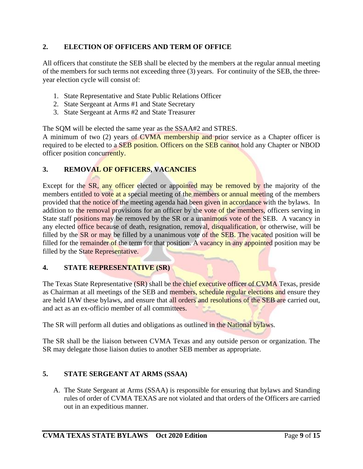#### **2. ELECTION OF OFFICERS AND TERM OF OFFICE**

All officers that constitute the SEB shall be elected by the members at the regular annual meeting of the members for such terms not exceeding three (3) years. For continuity of the SEB, the threeyear election cycle will consist of:

- 1. State Representative and State Public Relations Officer
- 2. State Sergeant at Arms #1 and State Secretary
- 3. State Sergeant at Arms #2 and State Treasurer

The SQM will be elected the same year as the SSAA#2 and STRES.

A minimum of two (2) years of CVMA membership and prior service as a Chapter officer is required to be elected to a SEB position. Officers on the SEB cannot hold any Chapter or NBOD officer position concurrently.

#### **3. REMOVAL OF OFFICERS, VACANCIES**

Except for the SR, any officer elected or appointed may be removed by the majority of the members entitled to vote at a special meeting of the members or annual meeting of the members provided that the notice of the meeting agenda had been given in accordance with the bylaws. In addition to the removal provisions for an officer by the vote of the members, officers serving in State staff positions may be removed by the SR or a unanimous vote of the SEB. A vacancy in any elected office because of death, resignation, removal, disqualification, or otherwise, will be filled by the SR or may be filled by a unanimous vote of the SEB. The vacated position will be filled for the remainder of the term for that position. A vacancy in any appointed position may be filled by the State Representative.

#### **4. STATE REPRESENTATIVE (SR)**

The Texas State Representative (SR) shall be the chief executive officer of CVMA Texas, preside as Chairman at all meetings of the SEB and members, schedule regular elections and ensure they are held IAW these bylaws, and ensure that all orders and resolutions of the SEB are carried out, and act as an ex-officio member of all committees.

The SR will perform all duties and obligations as outlined in the National bylaws.

The SR shall be the liaison between CVMA Texas and any outside person or organization. The SR may delegate those liaison duties to another SEB member as appropriate.

#### **5. STATE SERGEANT AT ARMS (SSAA)**

A. The State Sergeant at Arms (SSAA) is responsible for ensuring that bylaws and Standing rules of order of CVMA TEXAS are not violated and that orders of the Officers are carried out in an expeditious manner.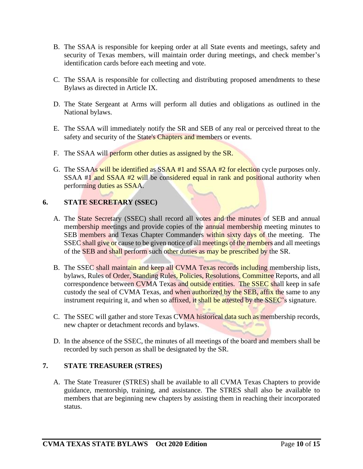- B. The SSAA is responsible for keeping order at all State events and meetings, safety and security of Texas members, will maintain order during meetings, and check member's identification cards before each meeting and vote.
- C. The SSAA is responsible for collecting and distributing proposed amendments to these Bylaws as directed in Article IX.
- D. The State Sergeant at Arms will perform all duties and obligations as outlined in the National bylaws.
- E. The SSAA will immediately notify the SR and SEB of any real or perceived threat to the safety and security of the State's Chapters and members or events.
- F. The SSAA will perform other duties as assigned by the SR.
- G. The SSAAs will be identified as SSAA #1 and SSAA #2 for election cycle purposes only. SSAA #1 and SSAA #2 will be considered equal in rank and positional authority when performing duties as SSAA.

#### **6. STATE SECRETARY (SSEC)**

- A. The State Secretary (SSEC) shall record all votes and the minutes of SEB and annual membership meetings and provide copies of the annual membership meeting minutes to SEB members and Texas Chapter Commanders within sixty days of the meeting. The SSEC shall give or cause to be given notice of all meetings of the members and all meetings of the SEB and shall perform such other duties as may be prescribed by the SR.
- B. The SSEC shall maintain and keep all CVMA Texas records including membership lists, bylaws, Rules of Order, Standing Rules, Policies, Resolutions, Committee Reports, and all correspondence between CVMA Texas and outside entities. The SSEC shall keep in safe custody the seal of CVMA Texas, and when authorized by the SEB, affix the same to any instrument requiring it, and when so affixed, it shall be attested by the SSEC's signature.
- C. The SSEC will gather and store Texas CVMA historical data such as membership records, new chapter or detachment records and bylaws.
- D. In the absence of the SSEC, the minutes of all meetings of the board and members shall be recorded by such person as shall be designated by the SR.

#### **7. STATE TREASURER (STRES)**

A. The State Treasurer (STRES) shall be available to all CVMA Texas Chapters to provide guidance, mentorship, training, and assistance. The STRES shall also be available to members that are beginning new chapters by assisting them in reaching their incorporated status.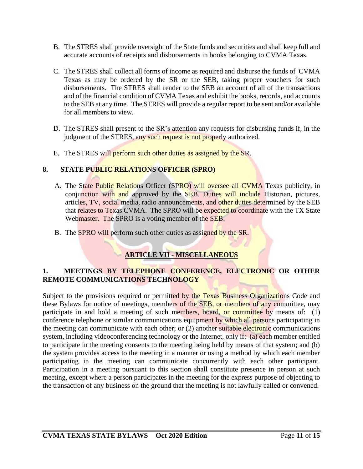- B. The STRES shall provide oversight of the State funds and securities and shall keep full and accurate accounts of receipts and disbursements in books belonging to CVMA Texas.
- C. The STRES shall collect all forms of income as required and disburse the funds of CVMA Texas as may be ordered by the SR or the SEB, taking proper vouchers for such disbursements. The STRES shall render to the SEB an account of all of the transactions and of the financial condition of CVMA Texas and exhibit the books, records, and accounts to the SEB at any time. The STRES will provide a regular report to be sent and/or available for all members to view.
- D. The STRES shall present to the SR's attention any requests for disbursing funds if, in the judgment of the STRES, any such request is not properly authorized.
- E. The STRES will perform such other duties as assigned by the SR.

#### **8. STATE PUBLIC RELATIONS OFFICER (SPRO)**

- A. The State Public Relations Officer (SPRO) will oversee all CVMA Texas publicity, in conjunction with and approved by the SEB. Duties will include Historian, pictures, articles, TV, social media, radio announcements, and other duties determined by the SEB that relates to Texas CVMA. The SPRO will be expected to coordinate with the TX State Webmaster. The SPRO is a voting member of the SEB.
- B. The SPRO will perform such other duties as assigned by the SR.

#### **ARTICLE VII - MISCELLANEOUS**

#### **1. MEETINGS BY TELEPHONE CONFERENCE, ELECTRONIC OR OTHER REMOTE COMMUNICATIONS TECHNOLOGY**

Subject to the provisions required or permitted by the Texas Business Organizations Code and these Bylaws for notice of meetings, members of the SEB, or members of any committee, may participate in and hold a meeting of such members, board, or committee by means of: (1) conference telephone or similar communications equipment by which all persons participating in the meeting can communicate with each other; or  $(2)$  another suitable electronic communications system, including videoconferencing technology or the Internet, only if: (a) each member entitled to participate in the meeting consents to the meeting being held by means of that system; and (b) the system provides access to the meeting in a manner or using a method by which each member participating in the meeting can communicate concurrently with each other participant. Participation in a meeting pursuant to this section shall constitute presence in person at such meeting, except where a person participates in the meeting for the express purpose of objecting to the transaction of any business on the ground that the meeting is not lawfully called or convened.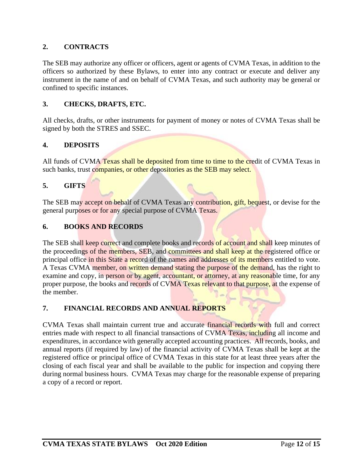#### **2. CONTRACTS**

The SEB may authorize any officer or officers, agent or agents of CVMA Texas, in addition to the officers so authorized by these Bylaws, to enter into any contract or execute and deliver any instrument in the name of and on behalf of CVMA Texas, and such authority may be general or confined to specific instances.

#### **3. CHECKS, DRAFTS, ETC.**

All checks, drafts, or other instruments for payment of money or notes of CVMA Texas shall be signed by both the STRES and SSEC.

#### **4. DEPOSITS**

All funds of CVMA Texas shall be deposited from time to time to the credit of CVMA Texas in such banks, trust companies, or other depositories as the SEB may select.

#### **5. GIFTS**

The SEB may accept on behalf of CVMA Texas any contribution, gift, bequest, or devise for the general purposes or for any special purpose of CVMA Texas.

#### **6. BOOKS AND RECORDS**

The SEB shall keep correct and complete books and records of account and shall keep minutes of the proceedings of the members, SEB, and committees and shall keep at the registered office or principal office in this State a record of the names and addresses of its members entitled to vote. A Texas CVMA member, on written demand stating the purpose of the demand, has the right to examine and copy, in person or by agent, accountant, or attorney, at any reasonable time, for any proper purpose, the books and records of CVMA Texas relevant to that purpose, at the expense of the member.

#### **7. FINANCIAL RECORDS AND ANNUAL REPORTS**

CVMA Texas shall maintain current true and accurate financial records with full and correct entries made with respect to all financial transactions of CVMA Texas, including all income and expenditures, in accordance with generally accepted accounting practices. All records, books, and annual reports (if required by law) of the financial activity of CVMA Texas shall be kept at the registered office or principal office of CVMA Texas in this state for at least three years after the closing of each fiscal year and shall be available to the public for inspection and copying there during normal business hours. CVMA Texas may charge for the reasonable expense of preparing a copy of a record or report.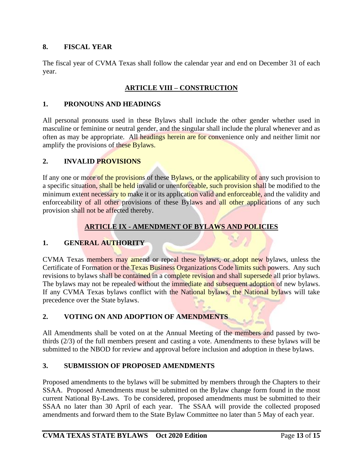#### **8. FISCAL YEAR**

The fiscal year of CVMA Texas shall follow the calendar year and end on December 31 of each year.

#### **ARTICLE VIII – CONSTRUCTION**

#### **1. PRONOUNS AND HEADINGS**

All personal pronouns used in these Bylaws shall include the other gender whether used in masculine or feminine or neutral gender, and the singular shall include the plural whenever and as often as may be appropriate. All headings herein are for convenience only and neither limit nor amplify the provisions of these Bylaws.

#### **2. INVALID PROVISIONS**

If any one or more of the provisions of these Bylaws, or the applicability of any such provision to a specific situation, shall be held invalid or unenforceable, such provision shall be modified to the minimum extent necessary to make it or its application valid and enforceable, and the validity and enforceability of all other provisions of these Bylaws and all other applications of any such provision shall not be affected thereby.

#### **ARTICLE IX - AMENDMENT OF BYLAWS AND POLICIES**

#### **1. GENERAL AUTHORITY**

CVMA Texas members may amend or repeal these bylaws, or adopt new bylaws, unless the Certificate of Formation or the Texas Business Organizations Code limits such powers. Any such revisions to bylaws shall be contained in a complete revision and shall supersede all prior bylaws. The bylaws may not be repealed without the immediate and subsequent adoption of new bylaws. If any CVMA Texas bylaws conflict with the National bylaws, the National bylaws will take precedence over the State bylaws.

#### **2. VOTING ON AND ADOPTION OF AMENDMENTS**

All Amendments shall be voted on at the Annual Meeting of the members and passed by twothirds (2/3) of the full members present and casting a vote. Amendments to these bylaws will be submitted to the NBOD for review and approval before inclusion and adoption in these bylaws.

#### **3. SUBMISSION OF PROPOSED AMENDMENTS**

Proposed amendments to the bylaws will be submitted by members through the Chapters to their SSAA. Proposed Amendments must be submitted on the Bylaw change form found in the most current National By-Laws. To be considered, proposed amendments must be submitted to their SSAA no later than 30 April of each year. The SSAA will provide the collected proposed amendments and forward them to the State Bylaw Committee no later than 5 May of each year.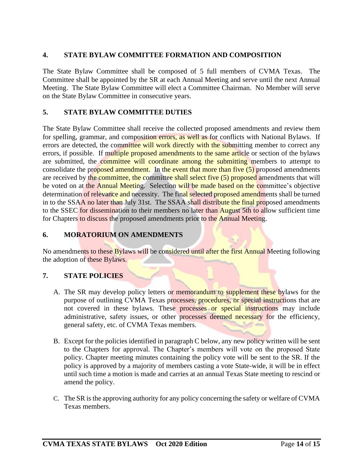#### **4. STATE BYLAW COMMITTEE FORMATION AND COMPOSITION**

The State Bylaw Committee shall be composed of 5 full members of CVMA Texas. The Committee shall be appointed by the SR at each Annual Meeting and serve until the next Annual Meeting. The State Bylaw Committee will elect a Committee Chairman. No Member will serve on the State Bylaw Committee in consecutive years.

#### **5. STATE BYLAW COMMITTEE DUTIES**

The State Bylaw Committee shall receive the collected proposed amendments and review them for spelling, grammar, and composition errors, as well as for conflicts with National Bylaws. If errors are detected, the committee will work directly with the submitting member to correct any errors, if possible. If multiple proposed amendments to the same article or section of the bylaws are submitted, the committee will coordinate among the submitting members to attempt to consolidate the proposed amendment. In the event that more than five  $(5)$  proposed amendments are received by the committee, the committee shall select five (5) proposed amendments that will be voted on at the Annual Meeting. Selection will be made based on the committee's objective determination of relevance and necessity. The final selected proposed amendments shall be turned in to the SSAA no later than July 31st. The SSAA shall distribute the final proposed amendments to the SSEC for dissemination to their members no later than August 5th to allow sufficient time for Chapters to discuss the proposed amendments prior to the Annual Meeting.

#### **6. MORATORIUM ON AMENDMENTS**

No amendments to these Bylaws will be considered until after the first Annual Meeting following the adoption of these Bylaws.

#### **7. STATE POLICIES**

- A. The SR may develop policy letters or memorandum to supplement these bylaws for the purpose of outlining CVMA Texas processes, procedures, or special instructions that are not covered in these bylaws. These processes or special instructions may include administrative, safety issues, or other processes deemed necessary for the efficiency, general safety, etc. of CVMA Texas members.
- B. Except for the policies identified in paragraph C below, any new policy written will be sent to the Chapters for approval. The Chapter's members will vote on the proposed State policy. Chapter meeting minutes containing the policy vote will be sent to the SR. If the policy is approved by a majority of members casting a vote State-wide, it will be in effect until such time a motion is made and carries at an annual Texas State meeting to rescind or amend the policy.
- C. The SR is the approving authority for any policy concerning the safety or welfare of CVMA Texas members.